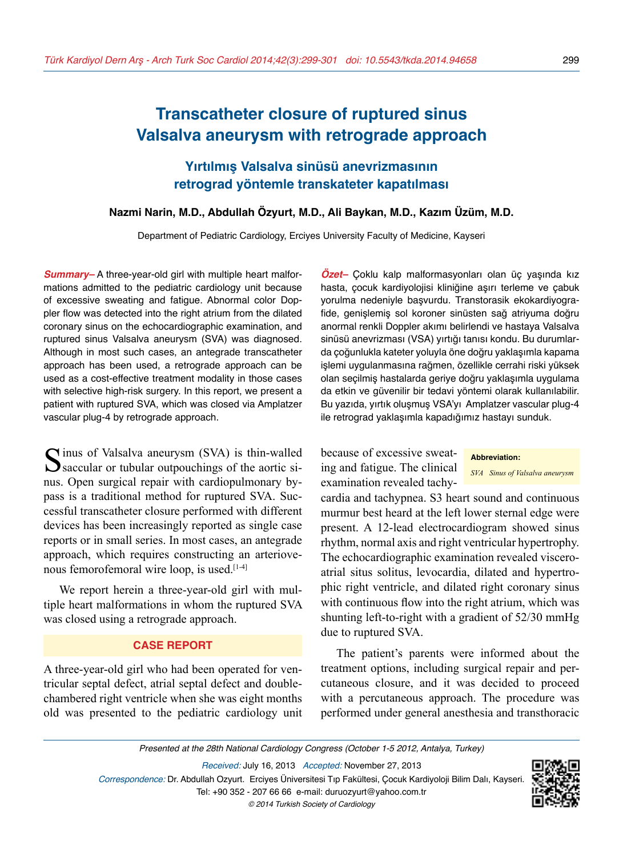# **Transcatheter closure of ruptured sinus Valsalva aneurysm with retrograde approach**

**Yırtılmış Valsalva sinüsü anevrizmasının retrograd yöntemle transkateter kapatılması**

#### **Nazmi Narin, M.D., Abdullah Özyurt, M.D., Ali Baykan, M.D., Kazım Üzüm, M.D.**

Department of Pediatric Cardiology, Erciyes University Faculty of Medicine, Kayseri

*Summary–* A three-year-old girl with multiple heart malformations admitted to the pediatric cardiology unit because of excessive sweating and fatigue. Abnormal color Doppler flow was detected into the right atrium from the dilated coronary sinus on the echocardiographic examination, and ruptured sinus Valsalva aneurysm (SVA) was diagnosed. Although in most such cases, an antegrade transcatheter approach has been used, a retrograde approach can be used as a cost-effective treatment modality in those cases with selective high-risk surgery. In this report, we present a patient with ruptured SVA, which was closed via Amplatzer vascular plug-4 by retrograde approach.

Sinus of Valsalva aneurysm (SVA) is thin-walled<br>Saccular or tubular outpouchings of the aortic sinus. Open surgical repair with cardiopulmonary bypass is a traditional method for ruptured SVA. Successful transcatheter closure performed with different devices has been increasingly reported as single case reports or in small series. In most cases, an antegrade approach, which requires constructing an arteriovenous femorofemoral wire loop, is used.<sup>[1-4]</sup>

We report herein a three-year-old girl with multiple heart malformations in whom the ruptured SVA was closed using a retrograde approach.

#### **CASE REPORT**

A three-year-old girl who had been operated for ventricular septal defect, atrial septal defect and doublechambered right ventricle when she was eight months old was presented to the pediatric cardiology unit

*Özet–* Çoklu kalp malformasyonları olan üç yaşında kız hasta, çocuk kardiyolojisi kliniğine aşırı terleme ve çabuk yorulma nedeniyle başvurdu. Transtorasik ekokardiyografide, genişlemiş sol koroner sinüsten sağ atriyuma doğru anormal renkli Doppler akımı belirlendi ve hastaya Valsalva sinüsü anevrizması (VSA) yırtığı tanısı kondu. Bu durumlarda çoğunlukla kateter yoluyla öne doğru yaklaşımla kapama işlemi uygulanmasına rağmen, özellikle cerrahi riski yüksek olan seçilmiş hastalarda geriye doğru yaklaşımla uygulama da etkin ve güvenilir bir tedavi yöntemi olarak kullanılabilir. Bu yazıda, yırtık oluşmuş VSA'yı Amplatzer vascular plug-4 ile retrograd yaklaşımla kapadığımız hastayı sunduk.

because of excessive sweating and fatigue. The clinical examination revealed tachy-

**Abbreviation:**

*SVA Sinus of Valsalva aneurysm*

cardia and tachypnea. S3 heart sound and continuous murmur best heard at the left lower sternal edge were present. A 12-lead electrocardiogram showed sinus rhythm, normal axis and right ventricular hypertrophy. The echocardiographic examination revealed visceroatrial situs solitus, levocardia, dilated and hypertrophic right ventricle, and dilated right coronary sinus with continuous flow into the right atrium, which was shunting left-to-right with a gradient of 52/30 mmHg due to ruptured SVA.

The patient's parents were informed about the treatment options, including surgical repair and percutaneous closure, and it was decided to proceed with a percutaneous approach. The procedure was performed under general anesthesia and transthoracic

Presented at the 28th National Cardiology Congress (October 1-5 2012, Antalya, Turkey)

Received: July 16, 2013 Accepted: November 27, 2013 Correspondence: Dr. Abdullah Ozyurt. Erciyes Üniversitesi Tıp Fakültesi, Çocuk Kardiyoloji Bilim Dalı, Kayseri. Tel: +90 352 - 207 66 66 e-mail: duruozyurt@yahoo.com.tr © 2014 Turkish Society of Cardiology

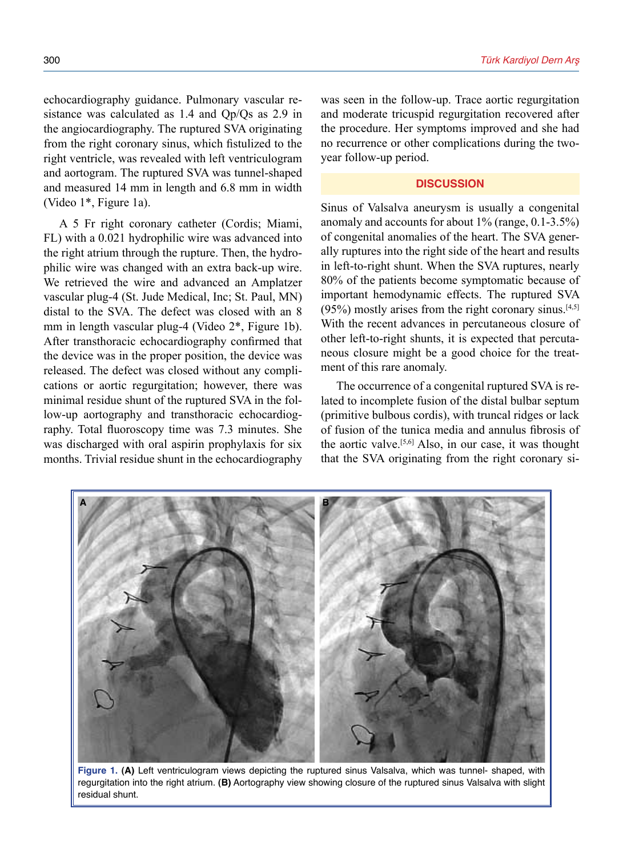echocardiography guidance. Pulmonary vascular resistance was calculated as 1.4 and Qp/Qs as 2.9 in the angiocardiography. The ruptured SVA originating from the right coronary sinus, which fistulized to the right ventricle, was revealed with left ventriculogram and aortogram. The ruptured SVA was tunnel-shaped and measured 14 mm in length and 6.8 mm in width (Video 1\*, Figure 1a).

A 5 Fr right coronary catheter (Cordis; Miami, FL) with a 0.021 hydrophilic wire was advanced into the right atrium through the rupture. Then, the hydrophilic wire was changed with an extra back-up wire. We retrieved the wire and advanced an Amplatzer vascular plug-4 (St. Jude Medical, Inc; St. Paul, MN) distal to the SVA. The defect was closed with an 8 mm in length vascular plug-4 (Video 2\*, Figure 1b). After transthoracic echocardiography confirmed that the device was in the proper position, the device was released. The defect was closed without any complications or aortic regurgitation; however, there was minimal residue shunt of the ruptured SVA in the follow-up aortography and transthoracic echocardiography. Total fluoroscopy time was 7.3 minutes. She was discharged with oral aspirin prophylaxis for six months. Trivial residue shunt in the echocardiography was seen in the follow-up. Trace aortic regurgitation and moderate tricuspid regurgitation recovered after the procedure. Her symptoms improved and she had no recurrence or other complications during the twoyear follow-up period.

### **DISCUSSION**

Sinus of Valsalva aneurysm is usually a congenital anomaly and accounts for about 1% (range, 0.1-3.5%) of congenital anomalies of the heart. The SVA generally ruptures into the right side of the heart and results in left-to-right shunt. When the SVA ruptures, nearly 80% of the patients become symptomatic because of important hemodynamic effects. The ruptured SVA  $(95%)$  mostly arises from the right coronary sinus.<sup>[4,5]</sup> With the recent advances in percutaneous closure of other left-to-right shunts, it is expected that percutaneous closure might be a good choice for the treatment of this rare anomaly.

The occurrence of a congenital ruptured SVA is related to incomplete fusion of the distal bulbar septum (primitive bulbous cordis), with truncal ridges or lack of fusion of the tunica media and annulus fibrosis of the aortic valve.[5,6] Also, in our case, it was thought that the SVA originating from the right coronary si-



**Figure 1. (A)** Left ventriculogram views depicting the ruptured sinus Valsalva, which was tunnel- shaped, with regurgitation into the right atrium. **(B)** Aortography view showing closure of the ruptured sinus Valsalva with slight residual shunt.